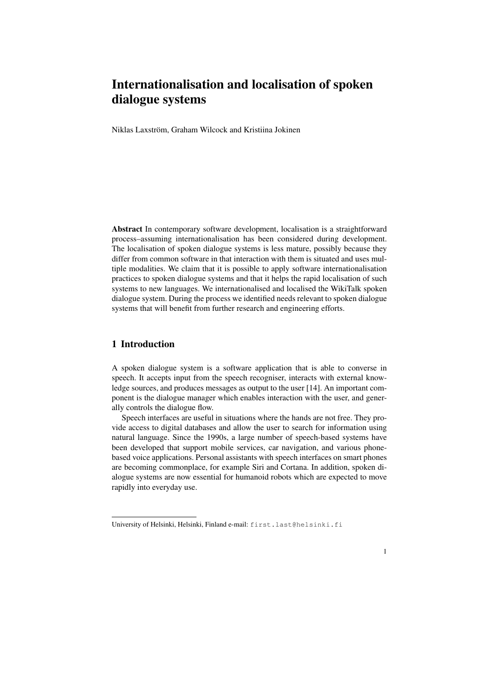# Internationalisation and localisation of spoken dialogue systems

Niklas Laxström, Graham Wilcock and Kristiina Jokinen

Abstract In contemporary software development, localisation is a straightforward process–assuming internationalisation has been considered during development. The localisation of spoken dialogue systems is less mature, possibly because they differ from common software in that interaction with them is situated and uses multiple modalities. We claim that it is possible to apply software internationalisation practices to spoken dialogue systems and that it helps the rapid localisation of such systems to new languages. We internationalised and localised the WikiTalk spoken dialogue system. During the process we identified needs relevant to spoken dialogue systems that will benefit from further research and engineering efforts.

## 1 Introduction

A spoken dialogue system is a software application that is able to converse in speech. It accepts input from the speech recogniser, interacts with external knowledge sources, and produces messages as output to the user [14]. An important component is the dialogue manager which enables interaction with the user, and generally controls the dialogue flow.

Speech interfaces are useful in situations where the hands are not free. They provide access to digital databases and allow the user to search for information using natural language. Since the 1990s, a large number of speech-based systems have been developed that support mobile services, car navigation, and various phonebased voice applications. Personal assistants with speech interfaces on smart phones are becoming commonplace, for example Siri and Cortana. In addition, spoken dialogue systems are now essential for humanoid robots which are expected to move rapidly into everyday use.

1

University of Helsinki, Helsinki, Finland e-mail: first.last@helsinki.fi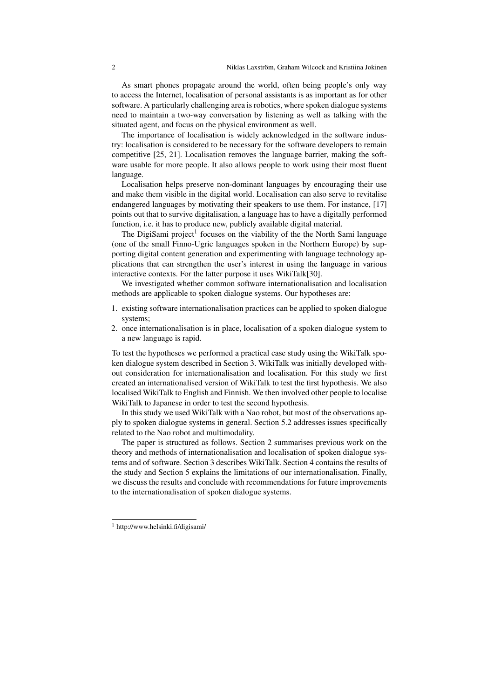As smart phones propagate around the world, often being people's only way to access the Internet, localisation of personal assistants is as important as for other software. A particularly challenging area is robotics, where spoken dialogue systems need to maintain a two-way conversation by listening as well as talking with the situated agent, and focus on the physical environment as well.

The importance of localisation is widely acknowledged in the software industry: localisation is considered to be necessary for the software developers to remain competitive [25, 21]. Localisation removes the language barrier, making the software usable for more people. It also allows people to work using their most fluent language.

Localisation helps preserve non-dominant languages by encouraging their use and make them visible in the digital world. Localisation can also serve to revitalise endangered languages by motivating their speakers to use them. For instance, [17] points out that to survive digitalisation, a language has to have a digitally performed function, i.e. it has to produce new, publicly available digital material.

The DigiSami project<sup>1</sup> focuses on the viability of the the North Sami language (one of the small Finno-Ugric languages spoken in the Northern Europe) by supporting digital content generation and experimenting with language technology applications that can strengthen the user's interest in using the language in various interactive contexts. For the latter purpose it uses WikiTalk[30].

We investigated whether common software internationalisation and localisation methods are applicable to spoken dialogue systems. Our hypotheses are:

- 1. existing software internationalisation practices can be applied to spoken dialogue systems;
- 2. once internationalisation is in place, localisation of a spoken dialogue system to a new language is rapid.

To test the hypotheses we performed a practical case study using the WikiTalk spoken dialogue system described in Section 3. WikiTalk was initially developed without consideration for internationalisation and localisation. For this study we first created an internationalised version of WikiTalk to test the first hypothesis. We also localised WikiTalk to English and Finnish. We then involved other people to localise WikiTalk to Japanese in order to test the second hypothesis.

In this study we used WikiTalk with a Nao robot, but most of the observations apply to spoken dialogue systems in general. Section 5.2 addresses issues specifically related to the Nao robot and multimodality.

The paper is structured as follows. Section 2 summarises previous work on the theory and methods of internationalisation and localisation of spoken dialogue systems and of software. Section 3 describes WikiTalk. Section 4 contains the results of the study and Section 5 explains the limitations of our internationalisation. Finally, we discuss the results and conclude with recommendations for future improvements to the internationalisation of spoken dialogue systems.

<sup>1</sup> http://www.helsinki.fi/digisami/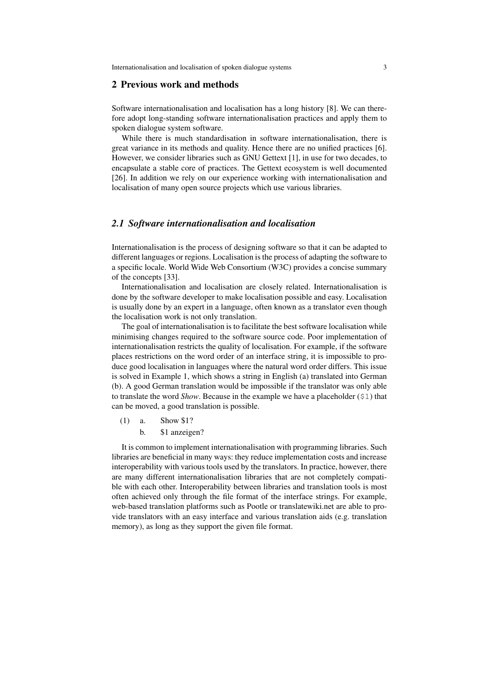Internationalisation and localisation of spoken dialogue systems 3

#### 2 Previous work and methods

Software internationalisation and localisation has a long history [8]. We can therefore adopt long-standing software internationalisation practices and apply them to spoken dialogue system software.

While there is much standardisation in software internationalisation, there is great variance in its methods and quality. Hence there are no unified practices [6]. However, we consider libraries such as GNU Gettext [1], in use for two decades, to encapsulate a stable core of practices. The Gettext ecosystem is well documented [26]. In addition we rely on our experience working with internationalisation and localisation of many open source projects which use various libraries.

#### *2.1 Software internationalisation and localisation*

Internationalisation is the process of designing software so that it can be adapted to different languages or regions. Localisation is the process of adapting the software to a specific locale. World Wide Web Consortium (W3C) provides a concise summary of the concepts [33].

Internationalisation and localisation are closely related. Internationalisation is done by the software developer to make localisation possible and easy. Localisation is usually done by an expert in a language, often known as a translator even though the localisation work is not only translation.

The goal of internationalisation is to facilitate the best software localisation while minimising changes required to the software source code. Poor implementation of internationalisation restricts the quality of localisation. For example, if the software places restrictions on the word order of an interface string, it is impossible to produce good localisation in languages where the natural word order differs. This issue is solved in Example 1, which shows a string in English (a) translated into German (b). A good German translation would be impossible if the translator was only able to translate the word *Show*. Because in the example we have a placeholder (\$1) that can be moved, a good translation is possible.

(1) a. Show \$1? b. \$1 anzeigen?

It is common to implement internationalisation with programming libraries. Such libraries are beneficial in many ways: they reduce implementation costs and increase interoperability with various tools used by the translators. In practice, however, there are many different internationalisation libraries that are not completely compatible with each other. Interoperability between libraries and translation tools is most often achieved only through the file format of the interface strings. For example, web-based translation platforms such as Pootle or translatewiki.net are able to provide translators with an easy interface and various translation aids (e.g. translation memory), as long as they support the given file format.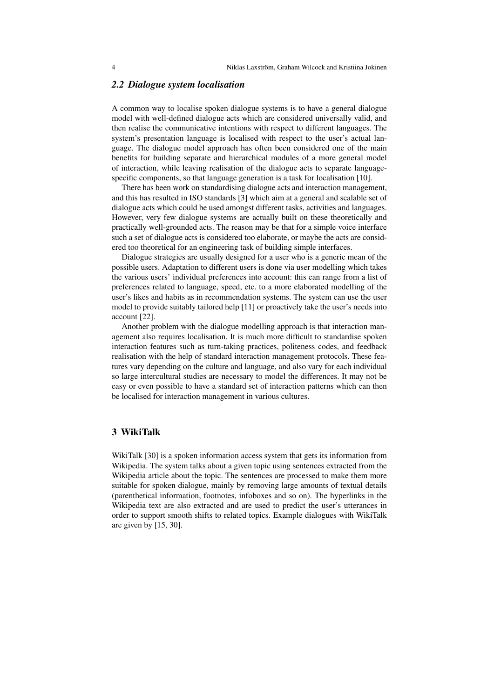## *2.2 Dialogue system localisation*

A common way to localise spoken dialogue systems is to have a general dialogue model with well-defined dialogue acts which are considered universally valid, and then realise the communicative intentions with respect to different languages. The system's presentation language is localised with respect to the user's actual language. The dialogue model approach has often been considered one of the main benefits for building separate and hierarchical modules of a more general model of interaction, while leaving realisation of the dialogue acts to separate languagespecific components, so that language generation is a task for localisation [10].

There has been work on standardising dialogue acts and interaction management, and this has resulted in ISO standards [3] which aim at a general and scalable set of dialogue acts which could be used amongst different tasks, activities and languages. However, very few dialogue systems are actually built on these theoretically and practically well-grounded acts. The reason may be that for a simple voice interface such a set of dialogue acts is considered too elaborate, or maybe the acts are considered too theoretical for an engineering task of building simple interfaces.

Dialogue strategies are usually designed for a user who is a generic mean of the possible users. Adaptation to different users is done via user modelling which takes the various users' individual preferences into account: this can range from a list of preferences related to language, speed, etc. to a more elaborated modelling of the user's likes and habits as in recommendation systems. The system can use the user model to provide suitably tailored help [11] or proactively take the user's needs into account [22].

Another problem with the dialogue modelling approach is that interaction management also requires localisation. It is much more difficult to standardise spoken interaction features such as turn-taking practices, politeness codes, and feedback realisation with the help of standard interaction management protocols. These features vary depending on the culture and language, and also vary for each individual so large intercultural studies are necessary to model the differences. It may not be easy or even possible to have a standard set of interaction patterns which can then be localised for interaction management in various cultures.

## 3 WikiTalk

WikiTalk [30] is a spoken information access system that gets its information from Wikipedia. The system talks about a given topic using sentences extracted from the Wikipedia article about the topic. The sentences are processed to make them more suitable for spoken dialogue, mainly by removing large amounts of textual details (parenthetical information, footnotes, infoboxes and so on). The hyperlinks in the Wikipedia text are also extracted and are used to predict the user's utterances in order to support smooth shifts to related topics. Example dialogues with WikiTalk are given by [15, 30].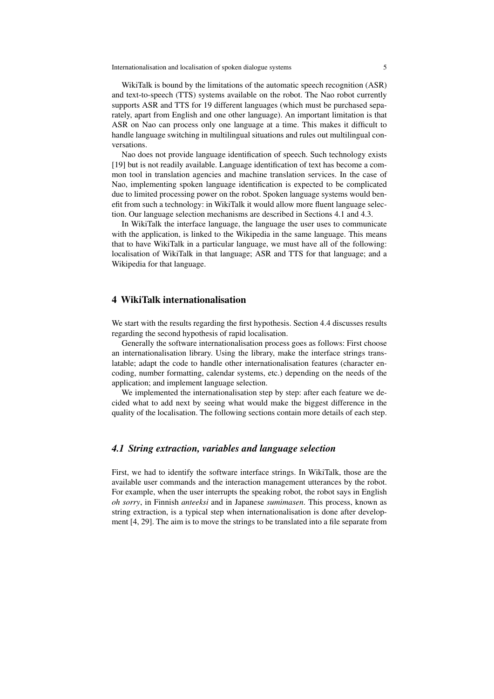Internationalisation and localisation of spoken dialogue systems 5

WikiTalk is bound by the limitations of the automatic speech recognition (ASR) and text-to-speech (TTS) systems available on the robot. The Nao robot currently supports ASR and TTS for 19 different languages (which must be purchased separately, apart from English and one other language). An important limitation is that ASR on Nao can process only one language at a time. This makes it difficult to handle language switching in multilingual situations and rules out multilingual conversations.

Nao does not provide language identification of speech. Such technology exists [19] but is not readily available. Language identification of text has become a common tool in translation agencies and machine translation services. In the case of Nao, implementing spoken language identification is expected to be complicated due to limited processing power on the robot. Spoken language systems would benefit from such a technology: in WikiTalk it would allow more fluent language selection. Our language selection mechanisms are described in Sections 4.1 and 4.3.

In WikiTalk the interface language, the language the user uses to communicate with the application, is linked to the Wikipedia in the same language. This means that to have WikiTalk in a particular language, we must have all of the following: localisation of WikiTalk in that language; ASR and TTS for that language; and a Wikipedia for that language.

#### 4 WikiTalk internationalisation

We start with the results regarding the first hypothesis. Section 4.4 discusses results regarding the second hypothesis of rapid localisation.

Generally the software internationalisation process goes as follows: First choose an internationalisation library. Using the library, make the interface strings translatable; adapt the code to handle other internationalisation features (character encoding, number formatting, calendar systems, etc.) depending on the needs of the application; and implement language selection.

We implemented the internationalisation step by step: after each feature we decided what to add next by seeing what would make the biggest difference in the quality of the localisation. The following sections contain more details of each step.

## *4.1 String extraction, variables and language selection*

First, we had to identify the software interface strings. In WikiTalk, those are the available user commands and the interaction management utterances by the robot. For example, when the user interrupts the speaking robot, the robot says in English *oh sorry*, in Finnish *anteeksi* and in Japanese *sumimasen*. This process, known as string extraction, is a typical step when internationalisation is done after development [4, 29]. The aim is to move the strings to be translated into a file separate from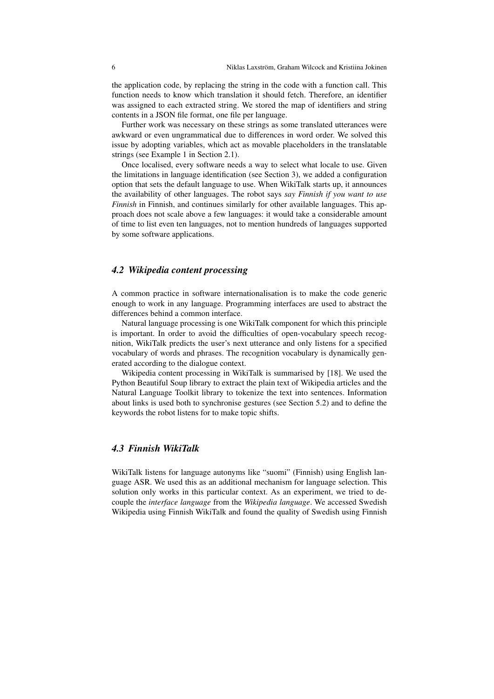the application code, by replacing the string in the code with a function call. This function needs to know which translation it should fetch. Therefore, an identifier was assigned to each extracted string. We stored the map of identifiers and string contents in a JSON file format, one file per language.

Further work was necessary on these strings as some translated utterances were awkward or even ungrammatical due to differences in word order. We solved this issue by adopting variables, which act as movable placeholders in the translatable strings (see Example 1 in Section 2.1).

Once localised, every software needs a way to select what locale to use. Given the limitations in language identification (see Section 3), we added a configuration option that sets the default language to use. When WikiTalk starts up, it announces the availability of other languages. The robot says *say Finnish if you want to use Finnish* in Finnish, and continues similarly for other available languages. This approach does not scale above a few languages: it would take a considerable amount of time to list even ten languages, not to mention hundreds of languages supported by some software applications.

#### *4.2 Wikipedia content processing*

A common practice in software internationalisation is to make the code generic enough to work in any language. Programming interfaces are used to abstract the differences behind a common interface.

Natural language processing is one WikiTalk component for which this principle is important. In order to avoid the difficulties of open-vocabulary speech recognition, WikiTalk predicts the user's next utterance and only listens for a specified vocabulary of words and phrases. The recognition vocabulary is dynamically generated according to the dialogue context.

Wikipedia content processing in WikiTalk is summarised by [18]. We used the Python Beautiful Soup library to extract the plain text of Wikipedia articles and the Natural Language Toolkit library to tokenize the text into sentences. Information about links is used both to synchronise gestures (see Section 5.2) and to define the keywords the robot listens for to make topic shifts.

## *4.3 Finnish WikiTalk*

WikiTalk listens for language autonyms like "suomi" (Finnish) using English language ASR. We used this as an additional mechanism for language selection. This solution only works in this particular context. As an experiment, we tried to decouple the *interface language* from the *Wikipedia language*. We accessed Swedish Wikipedia using Finnish WikiTalk and found the quality of Swedish using Finnish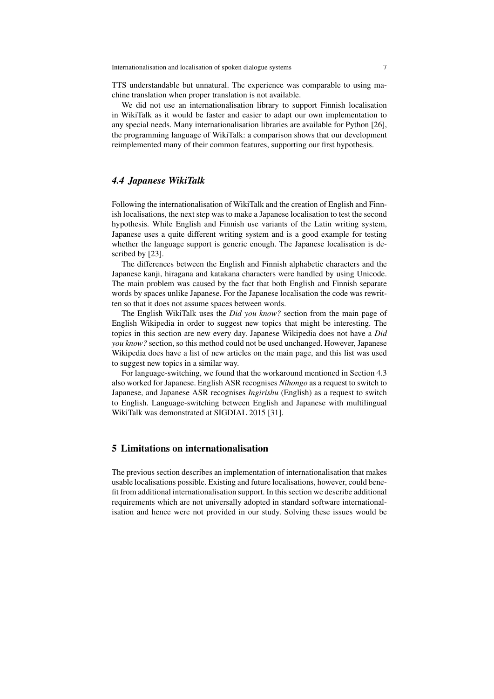TTS understandable but unnatural. The experience was comparable to using machine translation when proper translation is not available.

We did not use an internationalisation library to support Finnish localisation in WikiTalk as it would be faster and easier to adapt our own implementation to any special needs. Many internationalisation libraries are available for Python [26], the programming language of WikiTalk: a comparison shows that our development reimplemented many of their common features, supporting our first hypothesis.

## *4.4 Japanese WikiTalk*

Following the internationalisation of WikiTalk and the creation of English and Finnish localisations, the next step was to make a Japanese localisation to test the second hypothesis. While English and Finnish use variants of the Latin writing system, Japanese uses a quite different writing system and is a good example for testing whether the language support is generic enough. The Japanese localisation is described by [23].

The differences between the English and Finnish alphabetic characters and the Japanese kanji, hiragana and katakana characters were handled by using Unicode. The main problem was caused by the fact that both English and Finnish separate words by spaces unlike Japanese. For the Japanese localisation the code was rewritten so that it does not assume spaces between words.

The English WikiTalk uses the *Did you know?* section from the main page of English Wikipedia in order to suggest new topics that might be interesting. The topics in this section are new every day. Japanese Wikipedia does not have a *Did you know?* section, so this method could not be used unchanged. However, Japanese Wikipedia does have a list of new articles on the main page, and this list was used to suggest new topics in a similar way.

For language-switching, we found that the workaround mentioned in Section 4.3 also worked for Japanese. English ASR recognises *Nihongo* as a request to switch to Japanese, and Japanese ASR recognises *Ingirishu* (English) as a request to switch to English. Language-switching between English and Japanese with multilingual WikiTalk was demonstrated at SIGDIAL 2015 [31].

## 5 Limitations on internationalisation

The previous section describes an implementation of internationalisation that makes usable localisations possible. Existing and future localisations, however, could benefit from additional internationalisation support. In this section we describe additional requirements which are not universally adopted in standard software internationalisation and hence were not provided in our study. Solving these issues would be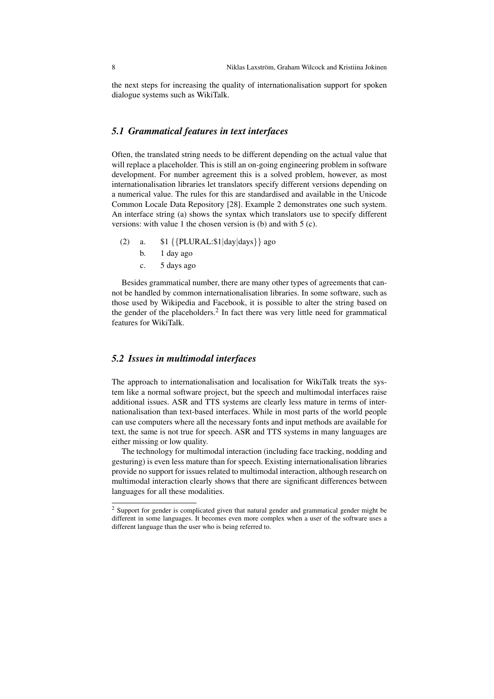the next steps for increasing the quality of internationalisation support for spoken dialogue systems such as WikiTalk.

## *5.1 Grammatical features in text interfaces*

Often, the translated string needs to be different depending on the actual value that will replace a placeholder. This is still an on-going engineering problem in software development. For number agreement this is a solved problem, however, as most internationalisation libraries let translators specify different versions depending on a numerical value. The rules for this are standardised and available in the Unicode Common Locale Data Repository [28]. Example 2 demonstrates one such system. An interface string (a) shows the syntax which translators use to specify different versions: with value 1 the chosen version is (b) and with 5 (c).

(2) a. \$1 *{{*PLURAL:\$1*|*day*|*days*}}* ago

- b. 1 day ago
- c. 5 days ago

Besides grammatical number, there are many other types of agreements that cannot be handled by common internationalisation libraries. In some software, such as those used by Wikipedia and Facebook, it is possible to alter the string based on the gender of the placeholders.<sup>2</sup> In fact there was very little need for grammatical features for WikiTalk.

#### *5.2 Issues in multimodal interfaces*

The approach to internationalisation and localisation for WikiTalk treats the system like a normal software project, but the speech and multimodal interfaces raise additional issues. ASR and TTS systems are clearly less mature in terms of internationalisation than text-based interfaces. While in most parts of the world people can use computers where all the necessary fonts and input methods are available for text, the same is not true for speech. ASR and TTS systems in many languages are either missing or low quality.

The technology for multimodal interaction (including face tracking, nodding and gesturing) is even less mature than for speech. Existing internationalisation libraries provide no support for issues related to multimodal interaction, although research on multimodal interaction clearly shows that there are significant differences between languages for all these modalities.

<sup>2</sup> Support for gender is complicated given that natural gender and grammatical gender might be different in some languages. It becomes even more complex when a user of the software uses a different language than the user who is being referred to.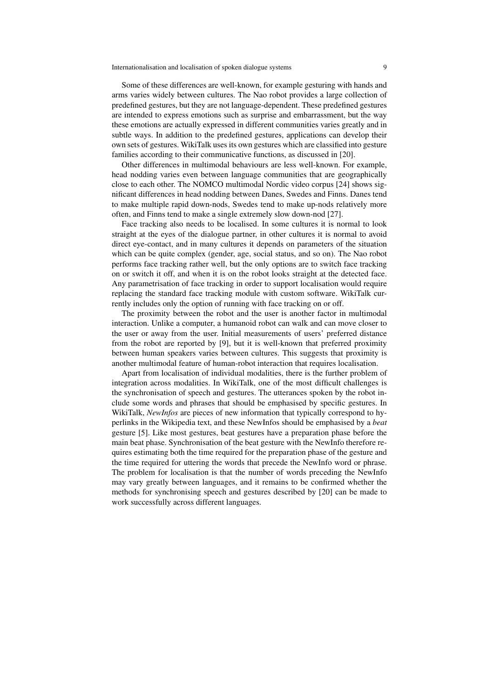#### Internationalisation and localisation of spoken dialogue systems 9

Some of these differences are well-known, for example gesturing with hands and arms varies widely between cultures. The Nao robot provides a large collection of predefined gestures, but they are not language-dependent. These predefined gestures are intended to express emotions such as surprise and embarrassment, but the way these emotions are actually expressed in different communities varies greatly and in subtle ways. In addition to the predefined gestures, applications can develop their own sets of gestures. WikiTalk uses its own gestures which are classified into gesture families according to their communicative functions, as discussed in [20].

Other differences in multimodal behaviours are less well-known. For example, head nodding varies even between language communities that are geographically close to each other. The NOMCO multimodal Nordic video corpus [24] shows significant differences in head nodding between Danes, Swedes and Finns. Danes tend to make multiple rapid down-nods, Swedes tend to make up-nods relatively more often, and Finns tend to make a single extremely slow down-nod [27].

Face tracking also needs to be localised. In some cultures it is normal to look straight at the eyes of the dialogue partner, in other cultures it is normal to avoid direct eye-contact, and in many cultures it depends on parameters of the situation which can be quite complex (gender, age, social status, and so on). The Nao robot performs face tracking rather well, but the only options are to switch face tracking on or switch it off, and when it is on the robot looks straight at the detected face. Any parametrisation of face tracking in order to support localisation would require replacing the standard face tracking module with custom software. WikiTalk currently includes only the option of running with face tracking on or off.

The proximity between the robot and the user is another factor in multimodal interaction. Unlike a computer, a humanoid robot can walk and can move closer to the user or away from the user. Initial measurements of users' preferred distance from the robot are reported by [9], but it is well-known that preferred proximity between human speakers varies between cultures. This suggests that proximity is another multimodal feature of human-robot interaction that requires localisation.

Apart from localisation of individual modalities, there is the further problem of integration across modalities. In WikiTalk, one of the most difficult challenges is the synchronisation of speech and gestures. The utterances spoken by the robot include some words and phrases that should be emphasised by specific gestures. In WikiTalk, *NewInfos* are pieces of new information that typically correspond to hyperlinks in the Wikipedia text, and these NewInfos should be emphasised by a *beat* gesture [5]. Like most gestures, beat gestures have a preparation phase before the main beat phase. Synchronisation of the beat gesture with the NewInfo therefore requires estimating both the time required for the preparation phase of the gesture and the time required for uttering the words that precede the NewInfo word or phrase. The problem for localisation is that the number of words preceding the NewInfo may vary greatly between languages, and it remains to be confirmed whether the methods for synchronising speech and gestures described by [20] can be made to work successfully across different languages.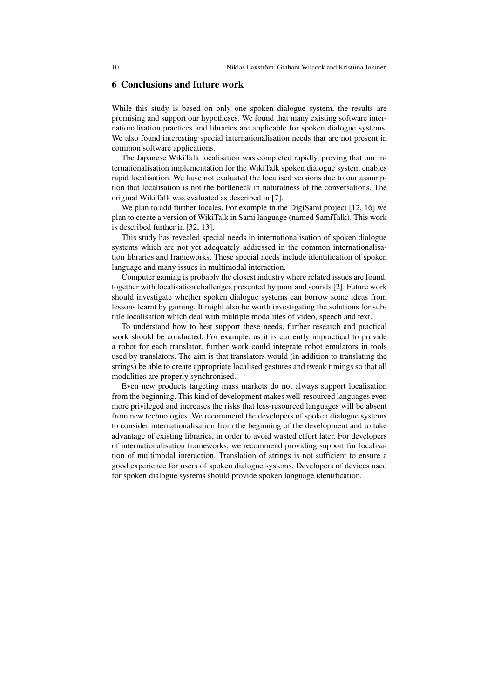## 6 Conclusions and future work

While this study is based on only one spoken dialogue system, the results are promising and support our hypotheses. We found that many existing software internationalisation practices and libraries are applicable for spoken dialogue systems. We also found interesting special internationalisation needs that are not present in common software applications.

The Japanese WikiTalk localisation was completed rapidly, proving that our internationalisation implementation for the WikiTalk spoken dialogue system enables rapid localisation. We have not evaluated the localised versions due to our assumption that localisation is not the bottleneck in naturalness of the conversations. The original WikiTalk was evaluated as described in [7].

We plan to add further locales. For example in the DigiSami project [12, 16] we plan to create a version of WikiTalk in Sami language (named SamiTalk). This work is described further in [32, 13].

This study has revealed special needs in internationalisation of spoken dialogue systems which are not yet adequately addressed in the common internationalisation libraries and frameworks. These special needs include identification of spoken language and many issues in multimodal interaction.

Computer gaming is probably the closest industry where related issues are found, together with localisation challenges presented by puns and sounds [2]. Future work should investigate whether spoken dialogue systems can borrow some ideas from lessons learnt by gaming. It might also be worth investigating the solutions for subtitle localisation which deal with multiple modalities of video, speech and text.

To understand how to best support these needs, further research and practical work should be conducted. For example, as it is currently impractical to provide a robot for each translator, further work could integrate robot emulators in tools used by translators. The aim is that translators would (in addition to translating the strings) be able to create appropriate localised gestures and tweak timings so that all modalities are properly synchronised.

Even new products targeting mass markets do not always support localisation from the beginning. This kind of development makes well-resourced languages even more privileged and increases the risks that less-resourced languages will be absent from new technologies. We recommend the developers of spoken dialogue systems to consider internationalisation from the beginning of the development and to take advantage of existing libraries, in order to avoid wasted effort later. For developers of internationalisation frameworks, we recommend providing support for localisation of multimodal interaction. Translation of strings is not sufficient to ensure a good experience for users of spoken dialogue systems. Developers of devices used for spoken dialogue systems should provide spoken language identification.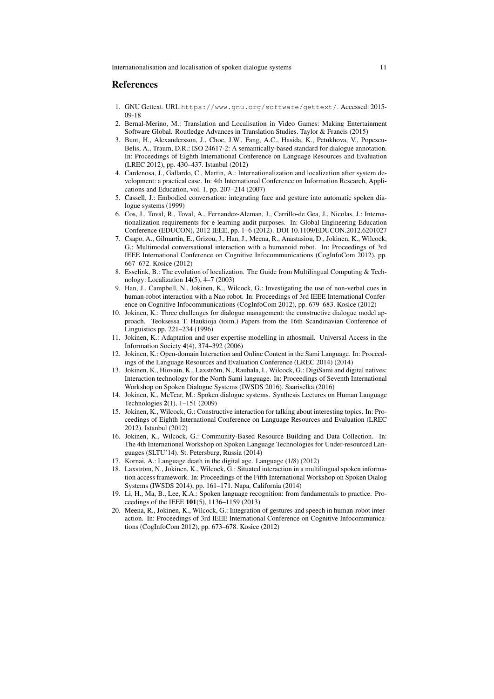### **References**

- 1. GNU Gettext. URL https://www.gnu.org/software/gettext/. Accessed: 2015- 09-18
- 2. Bernal-Merino, M.: Translation and Localisation in Video Games: Making Entertainment Software Global. Routledge Advances in Translation Studies. Taylor & Francis (2015)
- 3. Bunt, H., Alexandersson, J., Choe, J.W., Fang, A.C., Hasida, K., Petukhova, V., Popescu-Belis, A., Traum, D.R.: ISO 24617-2: A semantically-based standard for dialogue annotation. In: Proceedings of Eighth International Conference on Language Resources and Evaluation (LREC 2012), pp. 430–437. Istanbul (2012)
- 4. Cardenosa, J., Gallardo, C., Martin, A.: Internationalization and localization after system development: a practical case. In: 4th International Conference on Information Research, Applications and Education, vol. 1, pp. 207–214 (2007)
- 5. Cassell, J.: Embodied conversation: integrating face and gesture into automatic spoken dialogue systems (1999)
- 6. Cos, J., Toval, R., Toval, A., Fernandez-Aleman, J., Carrillo-de Gea, J., Nicolas, J.: Internationalization requirements for e-learning audit purposes. In: Global Engineering Education Conference (EDUCON), 2012 IEEE, pp. 1–6 (2012). DOI 10.1109/EDUCON.2012.6201027
- 7. Csapo, A., Gilmartin, E., Grizou, J., Han, J., Meena, R., Anastasiou, D., Jokinen, K., Wilcock, G.: Multimodal conversational interaction with a humanoid robot. In: Proceedings of 3rd IEEE International Conference on Cognitive Infocommunications (CogInfoCom 2012), pp. 667–672. Kosice (2012)
- 8. Esselink, B.: The evolution of localization. The Guide from Multilingual Computing & Technology: Localization 14(5), 4–7 (2003)
- 9. Han, J., Campbell, N., Jokinen, K., Wilcock, G.: Investigating the use of non-verbal cues in human-robot interaction with a Nao robot. In: Proceedings of 3rd IEEE International Conference on Cognitive Infocommunications (CogInfoCom 2012), pp. 679–683. Kosice (2012)
- 10. Jokinen, K.: Three challenges for dialogue management: the constructive dialogue model approach. Teoksessa T. Haukioja (toim.) Papers from the 16th Scandinavian Conference of Linguistics pp. 221–234 (1996)
- 11. Jokinen, K.: Adaptation and user expertise modelling in athosmail. Universal Access in the Information Society 4(4), 374–392 (2006)
- 12. Jokinen, K.: Open-domain Interaction and Online Content in the Sami Language. In: Proceedings of the Language Resources and Evaluation Conference (LREC 2014) (2014)
- 13. Jokinen, K., Hiovain, K., Laxstrom, N., Rauhala, I., Wilcock, G.: DigiSami and digital natives: ¨ Interaction technology for the North Sami language. In: Proceedings of Seventh International Workshop on Spoken Dialogue Systems (IWSDS 2016). Saariselka (2016) ¨
- 14. Jokinen, K., McTear, M.: Spoken dialogue systems. Synthesis Lectures on Human Language Technologies 2(1), 1–151 (2009)
- 15. Jokinen, K., Wilcock, G.: Constructive interaction for talking about interesting topics. In: Proceedings of Eighth International Conference on Language Resources and Evaluation (LREC 2012). Istanbul (2012)
- 16. Jokinen, K., Wilcock, G.: Community-Based Resource Building and Data Collection. In: The 4th International Workshop on Spoken Language Technologies for Under-resourced Languages (SLTU'14). St. Petersburg, Russia (2014)
- 17. Kornai, A.: Language death in the digital age. Language (1/8) (2012)
- 18. Laxstrom, N., Jokinen, K., Wilcock, G.: Situated interaction in a multilingual spoken informa- ¨ tion access framework. In: Proceedings of the Fifth International Workshop on Spoken Dialog Systems (IWSDS 2014), pp. 161–171. Napa, California (2014)
- 19. Li, H., Ma, B., Lee, K.A.: Spoken language recognition: from fundamentals to practice. Proceedings of the IEEE 101(5), 1136–1159 (2013)
- 20. Meena, R., Jokinen, K., Wilcock, G.: Integration of gestures and speech in human-robot interaction. In: Proceedings of 3rd IEEE International Conference on Cognitive Infocommunications (CogInfoCom 2012), pp. 673–678. Kosice (2012)